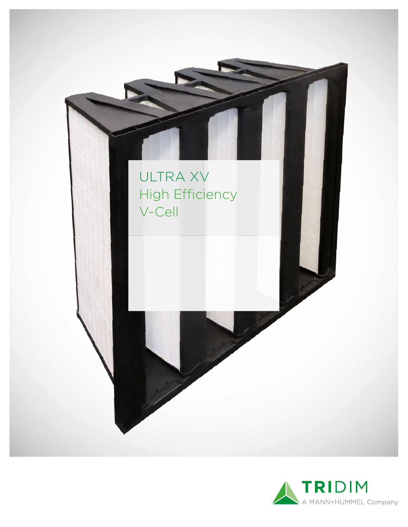

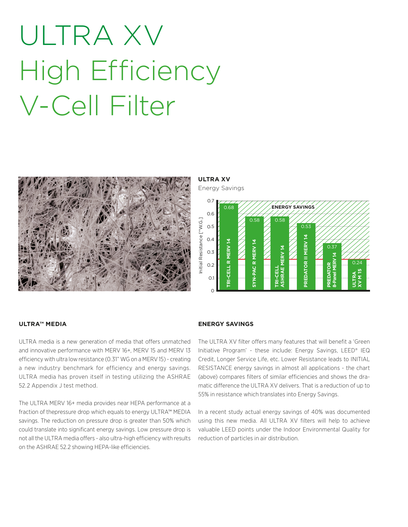# ULTRA XV High Efficiency V-Cell Filter



**ULTRA XV**

Energy Savings



## **ULTRA™ MEDIA**

ULTRA media is a new generation of media that offers unmatched and innovative performance with MERV 16+, MERV 15 and MERV 13 efficiency with ultra low resistance (0.31" WG on a MERV 15) - creating a new industry benchmark for efficiency and energy savings. ULTRA media has proven itself in testing utilizing the ASHRAE 52.2 Appendix J test method.

The ULTRA MERV 16+ media provides near HEPA performance at a fraction of thepressure drop which equals to energy ULTRA™ MEDIA savings. The reduction on pressure drop is greater than 50% which could translate into significant energy savings. Low pressure drop is not all the ULTRA media offers - also ultra-high efficiency with results on the ASHRAE 52.2 showing HEPA-like efficiencies.

### **ENERGY SAVINGS**

The ULTRA XV filter offers many features that will benefit a 'Green Initiative Program' - these include: Energy Savings, LEED® IEQ Credit, Longer Service Life, etc. Lower Resistance leads to INITIAL RESISTANCE energy savings in almost all applications - the chart (above) compares filters of similar efficiencies and shows the dramatic difference the ULTRA XV delivers. That is a reduction of up to 55% in resistance which translates into Energy Savings.

In a recent study actual energy savings of 40% was documented using this new media. All ULTRA XV filters will help to achieve valuable LEED points under the Indoor Environmental Quality for reduction of particles in air distribution.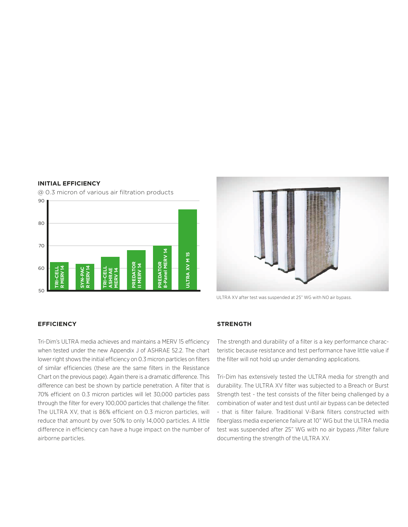## **INITIAL EFFICIENCY**

@ 0.3 micron of various air filtration products





ULTRA XV after test was suspended at 25" WG with NO air bypass.

### **EFFICIENCY**

Tri-Dim's ULTRA media achieves and maintains a MERV 15 efficiency when tested under the new Appendix J of ASHRAE 52.2. The chart lower right shows the initial efficiency on 0.3 micron particles on filters of similar efficiencies (these are the same filters in the Resistance Chart on the previous page). Again there is a dramatic difference. This difference can best be shown by particle penetration. A filter that is 70% efficient on 0.3 micron particles will let 30,000 particles pass through the filter for every 100,000 particles that challenge the filter. The ULTRA XV, that is 86% efficient on 0.3 micron particles, will reduce that amount by over 50% to only 14,000 particles. A little difference in efficiency can have a huge impact on the number of airborne particles.

### **STRENGTH**

The strength and durability of a filter is a key performance characteristic because resistance and test performance have little value if the filter will not hold up under demanding applications.

Tri-Dim has extensively tested the ULTRA media for strength and durability. The ULTRA XV filter was subjected to a Breach or Burst Strength test - the test consists of the filter being challenged by a combination of water and test dust until air bypass can be detected - that is filter failure. Traditional V-Bank filters constructed with fiberglass media experience failure at 10" WG but the ULTRA media test was suspended after 25" WG with no air bypass /filter failure documenting the strength of the ULTRA XV.